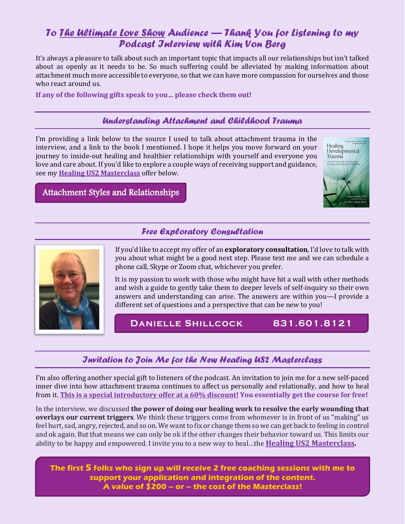# *To The Ultimate Love Show Audience — Thank You for Listening to my Podcast Interview with Kim Von Berg*

It's always a pleasure to talk about such an important topic that impacts all our relationships but isn't talked about as openly as it needs to be. So much suffering could be alleviated by making information about attachment much more accessible to everyone, so that we can have more compassion for ourselves and those who react around us.

**If any of the following gifts speak to you… please check them out!**

### *Understanding Attachment and Childhood Trauma*

I'm providing a link below to the source I used to talk about attachment trauma in the interview, and a link to the book I mentioned. I hope it helps you move forward on your journey to inside-out healing and healthier relationships with yourself and everyone you love and care about. If you'd like to explore a couple ways of receiving support and guidance, see my **Healing US2 Masterclass** offer below.



[Attachment Styles and Relationships](https://www.center4familydevelop.com/adults.htm) 

## *Free Exploratory Consultation*



If you'd like to accept my offer of an **exploratory consultation**, I'd love to talk with you about what might be a good next step. Please text me and we can schedule a phone call, Skype or Zoom chat, whichever you prefer.

It is my passion to work with those who might have hit a wall with other methods and wish a guide to gently take them to deeper levels of self-inquiry so their own answers and understanding can arise. The answers are within you—I provide a different set of questions and a perspective that can be new to you!

## **Danielle Shillcock 831.601.8121**

## *Invitation to Join Me for the New Healing US2 Masterclass*

I'm also offering another special gift to listeners of the podcast. An invitation to join me for a new self-paced inner dive into how attachment trauma continues to affect us personally and relationally, and how to heal from it. **This is a special introductory offer at a 60% discount! You essentially get the course for free!**

In the interview, we discussed **the power of doing our healing work to resolve the early wounding that overlays our current triggers**. We think these triggers come from whomever is in front of us "making" us feel hurt, sad, angry, rejected, and so on. We want to fix or change them so we can get back to feeling in control and ok again. But that means we can only be ok if the other changes their behavior toward us. This limits our ability to be happy and empowered. I invite you to a new way to heal…the **Healing US2 Masterclass.**

**The first 5 [folks who sign up will receive 2 free coaching sessions with me](https://www.you2masterclass.com/danielle-shillcock-hu2.html?fbclid=IwAR2EYqzOAB490x0CAn-rETdSmbdXQ6zBBmd-s6fKtnz-DFMN0168bHgHw3o) to support your application and integration of the content. A value of \$200 – or – the cost of the Masterclass!**